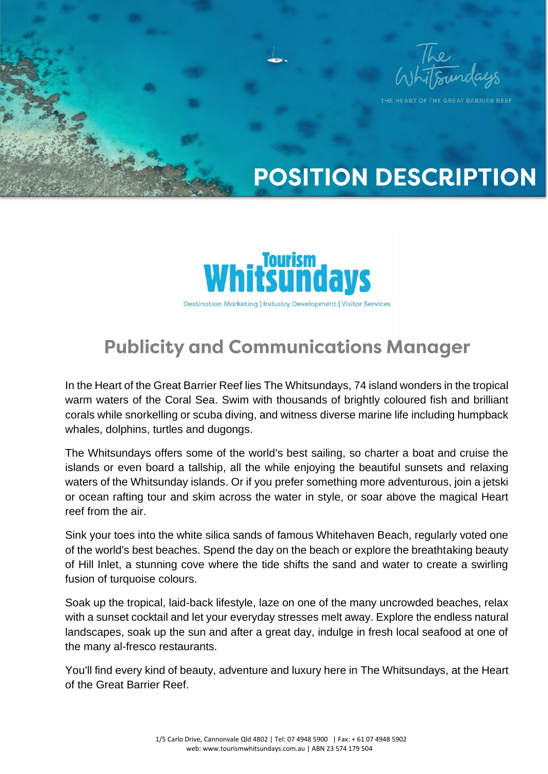

THE HEART OF THE GREAT BARRIER REFE

# **POSITION DESCRIPTION**



### **Publicity and Communications Manager**

In the Heart of the Great Barrier Reef lies The Whitsundays, 74 island wonders in the tropical warm waters of the Coral Sea. Swim with thousands of brightly coloured fish and brilliant corals while snorkelling or scuba diving, and witness diverse marine life including humpback whales, dolphins, turtles and dugongs.

The Whitsundays offers some of the world's best sailing, so charter a boat and cruise the islands or even board a tallship, all the while enjoying the beautiful sunsets and relaxing waters of the Whitsunday islands. Or if you prefer something more adventurous, join a jetski or ocean rafting tour and skim across the water in style, or soar above the magical Heart reef from the air.

Sink your toes into the white silica sands of famous Whitehaven Beach, regularly voted one of the world's best beaches. Spend the day on the beach or explore the breathtaking beauty of Hill Inlet, a stunning cove where the tide shifts the sand and water to create a swirling fusion of turquoise colours.

Soak up the tropical, laid-back lifestyle, laze on one of the many uncrowded beaches, relax with a sunset cocktail and let your everyday stresses melt away. Explore the endless natural landscapes, soak up the sun and after a great day, indulge in fresh local seafood at one of the many al-fresco restaurants.

You'll find every kind of beauty, adventure and luxury here in The Whitsundays, at the Heart of the Great Barrier Reef.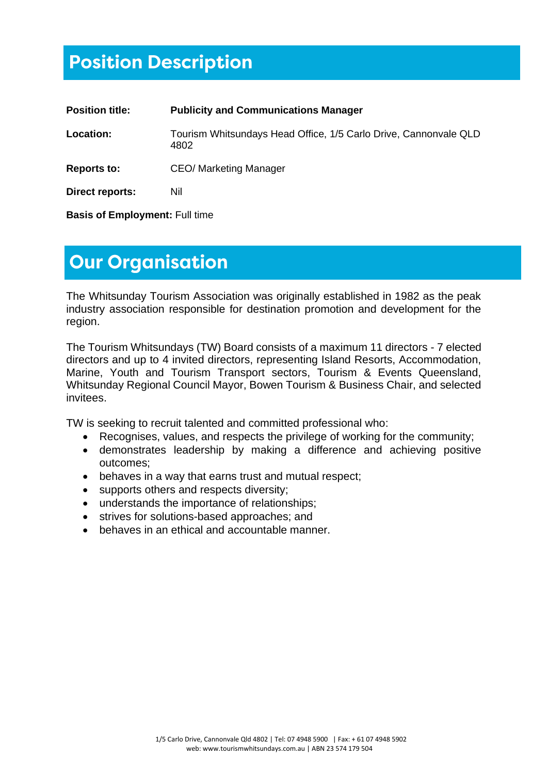### **Position Description**

| <b>Position title:</b> | <b>Publicity and Communications Manager</b>                              |
|------------------------|--------------------------------------------------------------------------|
| Location:              | Tourism Whitsundays Head Office, 1/5 Carlo Drive, Cannonvale QLD<br>4802 |
| <b>Reports to:</b>     | <b>CEO/ Marketing Manager</b>                                            |
| Direct reports:        | Nil                                                                      |

**Basis of Employment:** Full time

### **Our Organisation**

The Whitsunday Tourism Association was originally established in 1982 as the peak industry association responsible for destination promotion and development for the region.

The Tourism Whitsundays (TW) Board consists of a maximum 11 directors - 7 elected directors and up to 4 invited directors, representing Island Resorts, Accommodation, Marine, Youth and Tourism Transport sectors, Tourism & Events Queensland, Whitsunday Regional Council Mayor, Bowen Tourism & Business Chair, and selected invitees.

TW is seeking to recruit talented and committed professional who:

- Recognises, values, and respects the privilege of working for the community;
- demonstrates leadership by making a difference and achieving positive outcomes;
- behaves in a way that earns trust and mutual respect;
- supports others and respects diversity;
- understands the importance of relationships;
- strives for solutions-based approaches; and
- behaves in an ethical and accountable manner.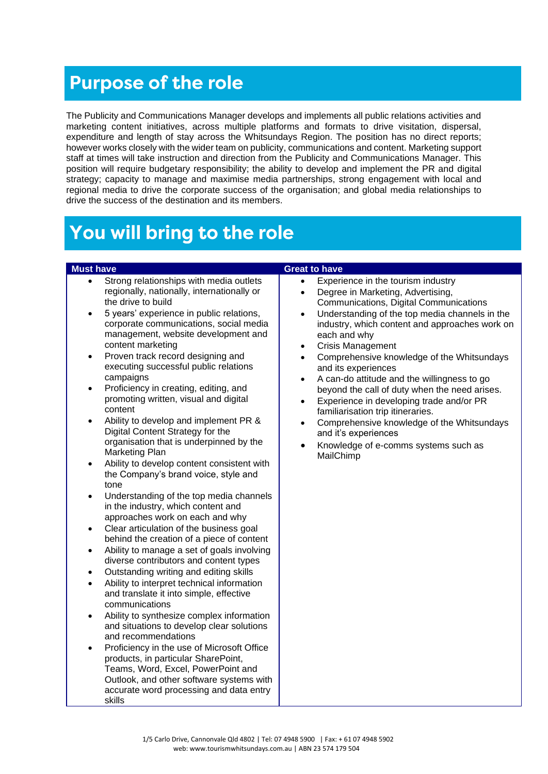### **Purpose of the role**

The Publicity and Communications Manager develops and implements all public relations activities and marketing content initiatives, across multiple platforms and formats to drive visitation, dispersal, expenditure and length of stay across the Whitsundays Region. The position has no direct reports; however works closely with the wider team on publicity, communications and content. Marketing support staff at times will take instruction and direction from the Publicity and Communications Manager. This position will require budgetary responsibility; the ability to develop and implement the PR and digital strategy; capacity to manage and maximise media partnerships, strong engagement with local and regional media to drive the corporate success of the organisation; and global media relationships to drive the success of the destination and its members.

## You will bring to the role

- Strong relationships with media outlets regionally, nationally, internationally or the drive to build
- 5 years' experience in public relations, corporate communications, social media management, website development and content marketing
- Proven track record designing and executing successful public relations campaigns
- Proficiency in creating, editing, and promoting written, visual and digital content
- Ability to develop and implement PR & Digital Content Strategy for the organisation that is underpinned by the Marketing Plan
- Ability to develop content consistent with the Company's brand voice, style and tone
- Understanding of the top media channels in the industry, which content and approaches work on each and why
- Clear articulation of the business goal behind the creation of a piece of content
- Ability to manage a set of goals involving diverse contributors and content types
- Outstanding writing and editing skills
- Ability to interpret technical information and translate it into simple, effective communications
- Ability to synthesize complex information and situations to develop clear solutions and recommendations
- Proficiency in the use of Microsoft Office products, in particular SharePoint, Teams, Word, Excel, PowerPoint and Outlook, and other software systems with accurate word processing and data entry skills

### **Must have Great to have Great to have**

- Experience in the tourism industry
- Degree in Marketing, Advertising, Communications, Digital Communications
- Understanding of the top media channels in the industry, which content and approaches work on each and why
- Crisis Management
- Comprehensive knowledge of the Whitsundays and its experiences
- A can-do attitude and the willingness to go beyond the call of duty when the need arises.
- Experience in developing trade and/or PR familiarisation trip itineraries.
- Comprehensive knowledge of the Whitsundays and it's experiences
- Knowledge of e-comms systems such as MailChimp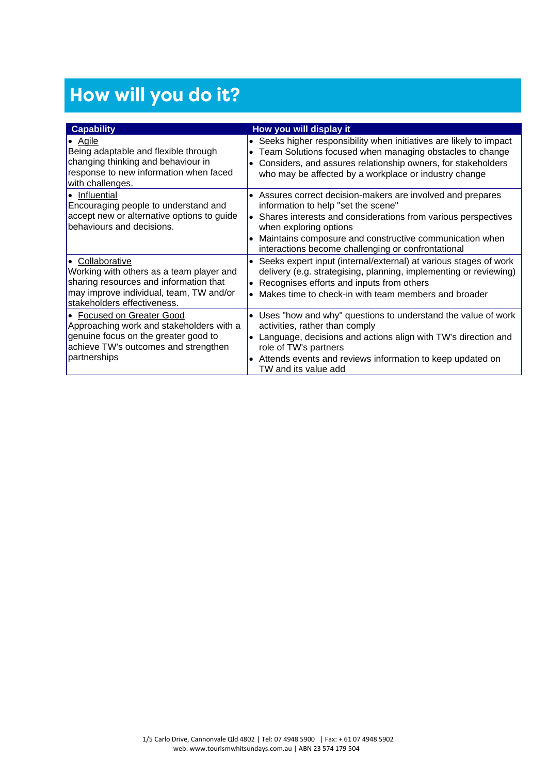# How will you do it?

| <b>Capability</b>                                                                                                                                                               | How you will display it                                                                                                                                                                                                                                                                                                           |
|---------------------------------------------------------------------------------------------------------------------------------------------------------------------------------|-----------------------------------------------------------------------------------------------------------------------------------------------------------------------------------------------------------------------------------------------------------------------------------------------------------------------------------|
| $\bullet$ Agile<br>Being adaptable and flexible through<br>changing thinking and behaviour in<br>response to new information when faced<br>with challenges.                     | • Seeks higher responsibility when initiatives are likely to impact<br>Team Solutions focused when managing obstacles to change<br>$\bullet$<br>Considers, and assures relationship owners, for stakeholders<br>$\bullet$<br>who may be affected by a workplace or industry change                                                |
| • Influential<br>Encouraging people to understand and<br>accept new or alternative options to guide<br>behaviours and decisions.                                                | • Assures correct decision-makers are involved and prepares<br>information to help "set the scene"<br>Shares interests and considerations from various perspectives<br>l.<br>when exploring options<br>Maintains composure and constructive communication when<br>$\bullet$<br>interactions become challenging or confrontational |
| • Collaborative<br>Working with others as a team player and<br>sharing resources and information that<br>may improve individual, team, TW and/or<br>stakeholders effectiveness. | Seeks expert input (internal/external) at various stages of work<br>$\bullet$<br>delivery (e.g. strategising, planning, implementing or reviewing)<br>Recognises efforts and inputs from others<br>Makes time to check-in with team members and broader<br>$\bullet$                                                              |
| • Focused on Greater Good<br>Approaching work and stakeholders with a<br>genuine focus on the greater good to<br>achieve TW's outcomes and strengthen<br>partnerships           | Uses "how and why" questions to understand the value of work<br>$\bullet$<br>activities, rather than comply<br>Language, decisions and actions align with TW's direction and<br>$\bullet$<br>role of TW's partners<br>Attends events and reviews information to keep updated on<br>$\bullet$<br>TW and its value add              |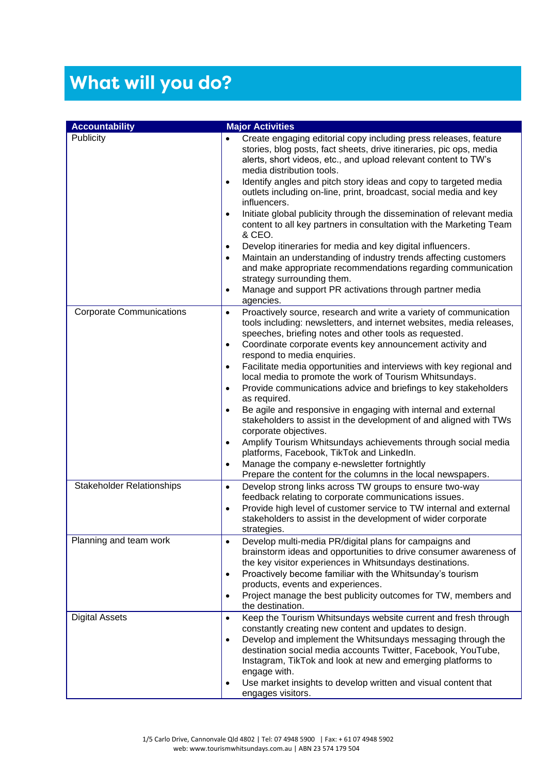# What will you do?

| <b>Accountability</b>            | <b>Major Activities</b>                                                                                                     |
|----------------------------------|-----------------------------------------------------------------------------------------------------------------------------|
| Publicity                        | Create engaging editorial copy including press releases, feature<br>$\bullet$                                               |
|                                  | stories, blog posts, fact sheets, drive itineraries, pic ops, media                                                         |
|                                  | alerts, short videos, etc., and upload relevant content to TW's                                                             |
|                                  | media distribution tools.                                                                                                   |
|                                  | Identify angles and pitch story ideas and copy to targeted media<br>$\bullet$                                               |
|                                  | outlets including on-line, print, broadcast, social media and key                                                           |
|                                  | influencers.                                                                                                                |
|                                  | Initiate global publicity through the dissemination of relevant media<br>$\bullet$                                          |
|                                  | content to all key partners in consultation with the Marketing Team                                                         |
|                                  | & CEO.                                                                                                                      |
|                                  | Develop itineraries for media and key digital influencers.<br>$\bullet$                                                     |
|                                  | Maintain an understanding of industry trends affecting customers<br>$\bullet$                                               |
|                                  | and make appropriate recommendations regarding communication                                                                |
|                                  | strategy surrounding them.                                                                                                  |
|                                  | Manage and support PR activations through partner media<br>$\bullet$                                                        |
|                                  | agencies.                                                                                                                   |
| <b>Corporate Communications</b>  | Proactively source, research and write a variety of communication<br>$\bullet$                                              |
|                                  | tools including: newsletters, and internet websites, media releases,                                                        |
|                                  | speeches, briefing notes and other tools as requested.                                                                      |
|                                  | Coordinate corporate events key announcement activity and<br>$\bullet$<br>respond to media enquiries.                       |
|                                  | Facilitate media opportunities and interviews with key regional and<br>$\bullet$                                            |
|                                  | local media to promote the work of Tourism Whitsundays.                                                                     |
|                                  | Provide communications advice and briefings to key stakeholders<br>$\bullet$                                                |
|                                  | as required.                                                                                                                |
|                                  | Be agile and responsive in engaging with internal and external<br>$\bullet$                                                 |
|                                  | stakeholders to assist in the development of and aligned with TWs                                                           |
|                                  | corporate objectives.                                                                                                       |
|                                  | Amplify Tourism Whitsundays achievements through social media<br>$\bullet$                                                  |
|                                  | platforms, Facebook, TikTok and LinkedIn.                                                                                   |
|                                  | Manage the company e-newsletter fortnightly<br>$\bullet$                                                                    |
|                                  | Prepare the content for the columns in the local newspapers.                                                                |
| <b>Stakeholder Relationships</b> | Develop strong links across TW groups to ensure two-way<br>$\bullet$                                                        |
|                                  | feedback relating to corporate communications issues.<br>Provide high level of customer service to TW internal and external |
|                                  | $\bullet$<br>stakeholders to assist in the development of wider corporate                                                   |
|                                  | strategies.                                                                                                                 |
| Planning and team work           | Develop multi-media PR/digital plans for campaigns and<br>$\bullet$                                                         |
|                                  | brainstorm ideas and opportunities to drive consumer awareness of                                                           |
|                                  | the key visitor experiences in Whitsundays destinations.                                                                    |
|                                  | Proactively become familiar with the Whitsunday's tourism<br>٠                                                              |
|                                  | products, events and experiences.                                                                                           |
|                                  | Project manage the best publicity outcomes for TW, members and<br>٠                                                         |
|                                  | the destination.                                                                                                            |
| <b>Digital Assets</b>            | Keep the Tourism Whitsundays website current and fresh through<br>$\bullet$                                                 |
|                                  | constantly creating new content and updates to design.                                                                      |
|                                  | Develop and implement the Whitsundays messaging through the<br>$\bullet$                                                    |
|                                  | destination social media accounts Twitter, Facebook, YouTube,                                                               |
|                                  | Instagram, TikTok and look at new and emerging platforms to<br>engage with.                                                 |
|                                  | Use market insights to develop written and visual content that<br>$\bullet$                                                 |
|                                  | engages visitors.                                                                                                           |